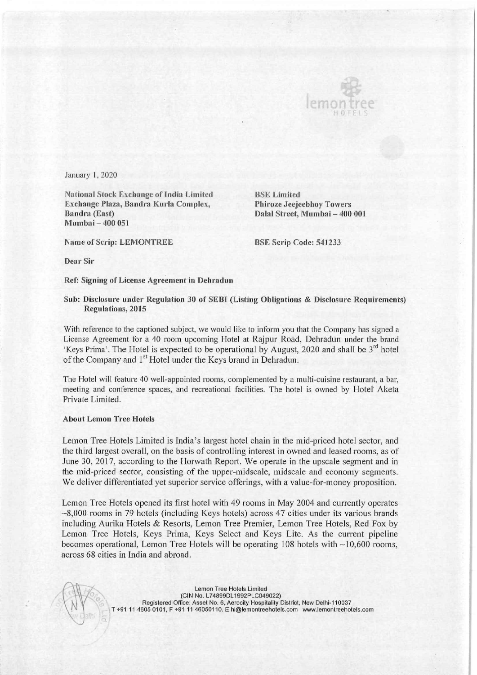

ł

January 1, 2020

National Stock Exchange of India Limited BSE Limited Exchange Plaza, Bandra Kurla Complex, Phiroze Jeejeebhoy Towers Bandra (East) Dalal Street, Mumbai — 400 001 Mumbai — 400 051

Name of Scrip: LEMONTREE BSE Scrip Code: 541233

Dear Sir

Ref: Signing of License Agreement in Dehradun

## Sub: Disclosure under Regulation 30 of SEBI (Listing Obligations & Disclosure Requirements) Regulations, 2015

With reference to the captioned subject, we would like to inform you that the Company has signed a License Agreement for a 40 room upcoming Hotel at Rajpur Road, Dehradun under the brand 'Keys Prima'. The Hotel is expected to be operational by August, 2020 and shall be  $3^{rd}$  hotel of the Company and 1<sup>st</sup> Hotel under the Keys brand in Dehradun.

The Hotel will feature 40 well-appointed rooms, complemented by a multi-cuisine restaurant, a bar, meeting and conference spaces, and recreational facilities. The hotel is owned by Hotel Aketa Private Limited.

## About Lemon Tree Hotels

Lemon Tree Hotels Limited is India's largest hotel chain in the mid-priced hotel sector, and the third largest overall, on the basis of controlling interest in owned and leased rooms, as of June 30, 2017, according to the Horwath Report. We operate in the upscale segment and in the mid-priced sector, consisting of the upper-midscale, midscale and economy segments. We deliver differentiated yet superior service offerings, with a value-for-money proposition.

Lemon Tree Hotels opened its first hotel with 49 rooms in May 2004 and currently operates  $\sim$ 8,000 rooms in 79 hotels (including Keys hotels) across 47 cities under its various brands including Aurika Hotels & Resorts, Lemon Tree Premier, Lemon Tree Hotels, Red Fox by Lemon Tree Hotels, Keys Prima, Keys Select and Keys Lite. As the current pipeline becomes operational, Lemon Tree Hotels will be operating  $108$  hotels with  $\sim$ 10,600 rooms, across 68 cities in India and abroad.

> Registered Office: Asset No. 6, Aerocity Hospitality District, New Delhi-110037 **Lemon Tree Hotels Limited** T +91 11 4605 0101, F +91 11 46050110, E hi@lemontreehotels.com www.lemontreehotels.com \ V (CIN No. L74899DL1992PLC049022)